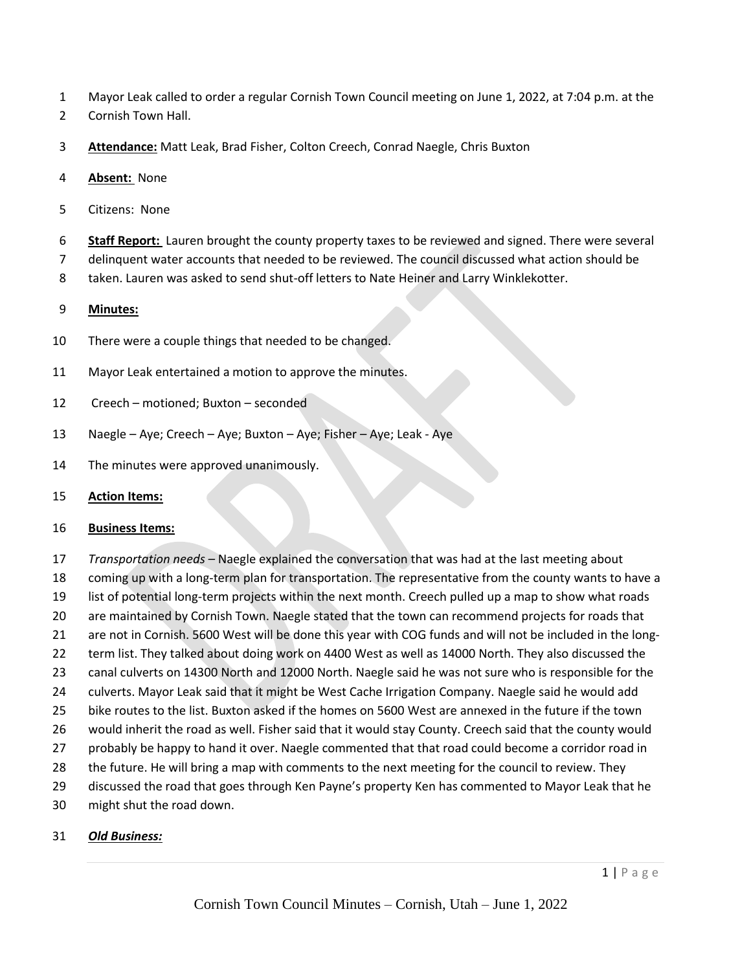- Mayor Leak called to order a regular Cornish Town Council meeting on June 1, 2022, at 7:04 p.m. at the
- Cornish Town Hall.
- **Attendance:** Matt Leak, Brad Fisher, Colton Creech, Conrad Naegle, Chris Buxton
- **Absent:** None
- Citizens: None
- **Staff Report:** Lauren brought the county property taxes to be reviewed and signed. There were several
- delinquent water accounts that needed to be reviewed. The council discussed what action should be
- taken. Lauren was asked to send shut-off letters to Nate Heiner and Larry Winklekotter.

## **Minutes:**

- There were a couple things that needed to be changed.
- Mayor Leak entertained a motion to approve the minutes.
- Creech motioned; Buxton seconded
- Naegle Aye; Creech Aye; Buxton Aye; Fisher Aye; Leak Aye
- The minutes were approved unanimously.
- **Action Items:**

## **Business Items:**

 *Transportation needs –* Naegle explained the conversation that was had at the last meeting about coming up with a long-term plan for transportation. The representative from the county wants to have a list of potential long-term projects within the next month. Creech pulled up a map to show what roads are maintained by Cornish Town. Naegle stated that the town can recommend projects for roads that are not in Cornish. 5600 West will be done this year with COG funds and will not be included in the long-22 term list. They talked about doing work on 4400 West as well as 14000 North. They also discussed the canal culverts on 14300 North and 12000 North. Naegle said he was not sure who is responsible for the culverts. Mayor Leak said that it might be West Cache Irrigation Company. Naegle said he would add bike routes to the list. Buxton asked if the homes on 5600 West are annexed in the future if the town would inherit the road as well. Fisher said that it would stay County. Creech said that the county would probably be happy to hand it over. Naegle commented that that road could become a corridor road in the future. He will bring a map with comments to the next meeting for the council to review. They discussed the road that goes through Ken Payne's property Ken has commented to Mayor Leak that he

might shut the road down.

## *Old Business:*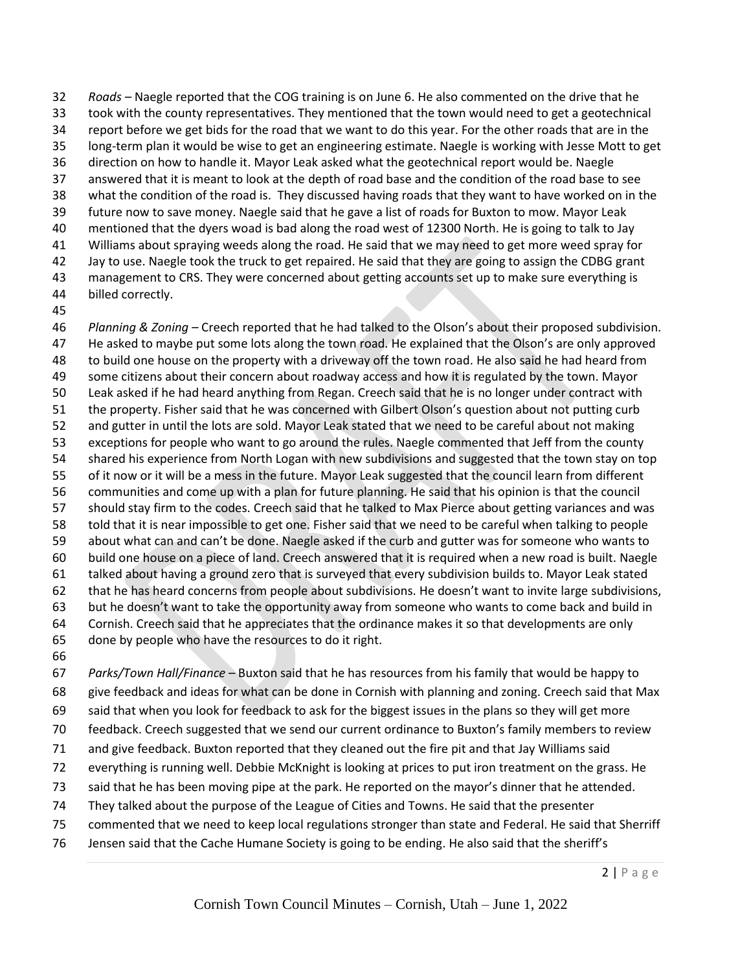*Roads –* Naegle reported that the COG training is on June 6. He also commented on the drive that he took with the county representatives. They mentioned that the town would need to get a geotechnical report before we get bids for the road that we want to do this year. For the other roads that are in the long-term plan it would be wise to get an engineering estimate. Naegle is working with Jesse Mott to get direction on how to handle it. Mayor Leak asked what the geotechnical report would be. Naegle answered that it is meant to look at the depth of road base and the condition of the road base to see what the condition of the road is. They discussed having roads that they want to have worked on in the future now to save money. Naegle said that he gave a list of roads for Buxton to mow. Mayor Leak mentioned that the dyers woad is bad along the road west of 12300 North. He is going to talk to Jay Williams about spraying weeds along the road. He said that we may need to get more weed spray for Jay to use. Naegle took the truck to get repaired. He said that they are going to assign the CDBG grant management to CRS. They were concerned about getting accounts set up to make sure everything is billed correctly.

 *Planning & Zoning –* Creech reported that he had talked to the Olson's about their proposed subdivision. He asked to maybe put some lots along the town road. He explained that the Olson's are only approved to build one house on the property with a driveway off the town road. He also said he had heard from some citizens about their concern about roadway access and how it is regulated by the town. Mayor Leak asked if he had heard anything from Regan. Creech said that he is no longer under contract with the property. Fisher said that he was concerned with Gilbert Olson's question about not putting curb and gutter in until the lots are sold. Mayor Leak stated that we need to be careful about not making exceptions for people who want to go around the rules. Naegle commented that Jeff from the county shared his experience from North Logan with new subdivisions and suggested that the town stay on top of it now or it will be a mess in the future. Mayor Leak suggested that the council learn from different communities and come up with a plan for future planning. He said that his opinion is that the council should stay firm to the codes. Creech said that he talked to Max Pierce about getting variances and was told that it is near impossible to get one. Fisher said that we need to be careful when talking to people about what can and can't be done. Naegle asked if the curb and gutter was for someone who wants to build one house on a piece of land. Creech answered that it is required when a new road is built. Naegle talked about having a ground zero that is surveyed that every subdivision builds to. Mayor Leak stated that he has heard concerns from people about subdivisions. He doesn't want to invite large subdivisions, but he doesn't want to take the opportunity away from someone who wants to come back and build in Cornish. Creech said that he appreciates that the ordinance makes it so that developments are only done by people who have the resources to do it right. 

 *Parks/Town Hall/Finance* – Buxton said that he has resources from his family that would be happy to give feedback and ideas for what can be done in Cornish with planning and zoning. Creech said that Max said that when you look for feedback to ask for the biggest issues in the plans so they will get more feedback. Creech suggested that we send our current ordinance to Buxton's family members to review and give feedback. Buxton reported that they cleaned out the fire pit and that Jay Williams said everything is running well. Debbie McKnight is looking at prices to put iron treatment on the grass. He said that he has been moving pipe at the park. He reported on the mayor's dinner that he attended. They talked about the purpose of the League of Cities and Towns. He said that the presenter commented that we need to keep local regulations stronger than state and Federal. He said that Sherriff

Jensen said that the Cache Humane Society is going to be ending. He also said that the sheriff's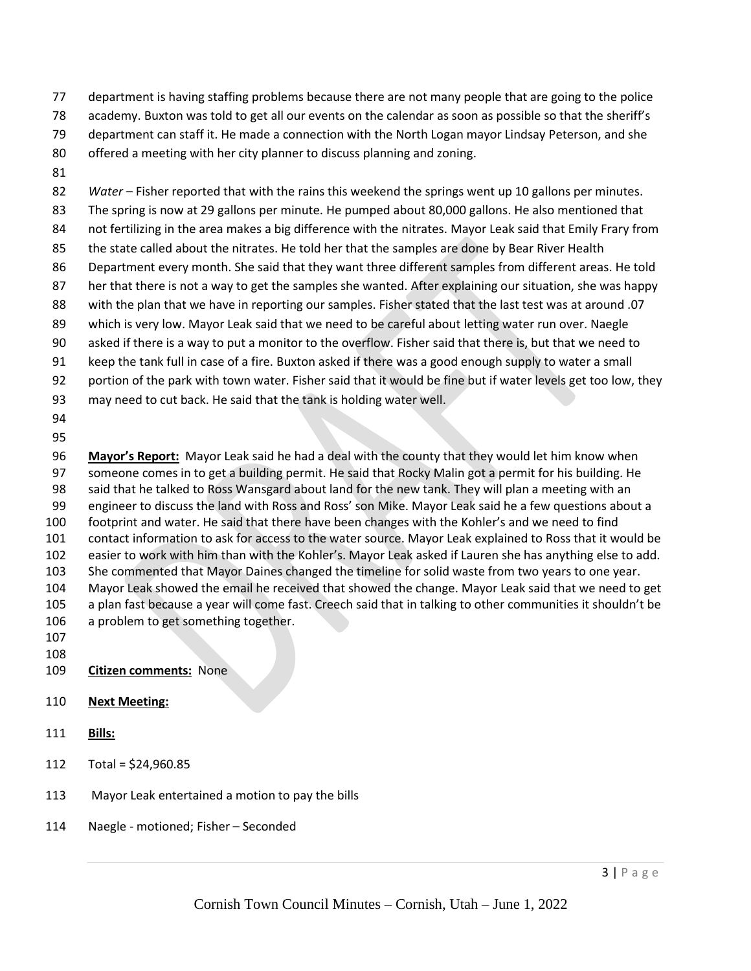- department is having staffing problems because there are not many people that are going to the police
- academy. Buxton was told to get all our events on the calendar as soon as possible so that the sheriff's
- department can staff it. He made a connection with the North Logan mayor Lindsay Peterson, and she
- offered a meeting with her city planner to discuss planning and zoning.
- 

*Water –* Fisher reported that with the rains this weekend the springs went up 10 gallons per minutes. The spring is now at 29 gallons per minute. He pumped about 80,000 gallons. He also mentioned that not fertilizing in the area makes a big difference with the nitrates. Mayor Leak said that Emily Frary from 85 the state called about the nitrates. He told her that the samples are done by Bear River Health Department every month. She said that they want three different samples from different areas. He told her that there is not a way to get the samples she wanted. After explaining our situation, she was happy with the plan that we have in reporting our samples. Fisher stated that the last test was at around .07 which is very low. Mayor Leak said that we need to be careful about letting water run over. Naegle asked if there is a way to put a monitor to the overflow. Fisher said that there is, but that we need to keep the tank full in case of a fire. Buxton asked if there was a good enough supply to water a small portion of the park with town water. Fisher said that it would be fine but if water levels get too low, they may need to cut back. He said that the tank is holding water well. 

 **Mayor's Report:** Mayor Leak said he had a deal with the county that they would let him know when someone comes in to get a building permit. He said that Rocky Malin got a permit for his building. He said that he talked to Ross Wansgard about land for the new tank. They will plan a meeting with an engineer to discuss the land with Ross and Ross' son Mike. Mayor Leak said he a few questions about a footprint and water. He said that there have been changes with the Kohler's and we need to find contact information to ask for access to the water source. Mayor Leak explained to Ross that it would be easier to work with him than with the Kohler's. Mayor Leak asked if Lauren she has anything else to add. She commented that Mayor Daines changed the timeline for solid waste from two years to one year. Mayor Leak showed the email he received that showed the change. Mayor Leak said that we need to get a plan fast because a year will come fast. Creech said that in talking to other communities it shouldn't be a problem to get something together.

- 
- 
- **Citizen comments:** None
- **Next Meeting:**
- **Bills:**
- Total = \$24,960.85
- Mayor Leak entertained a motion to pay the bills
- Naegle motioned; Fisher Seconded